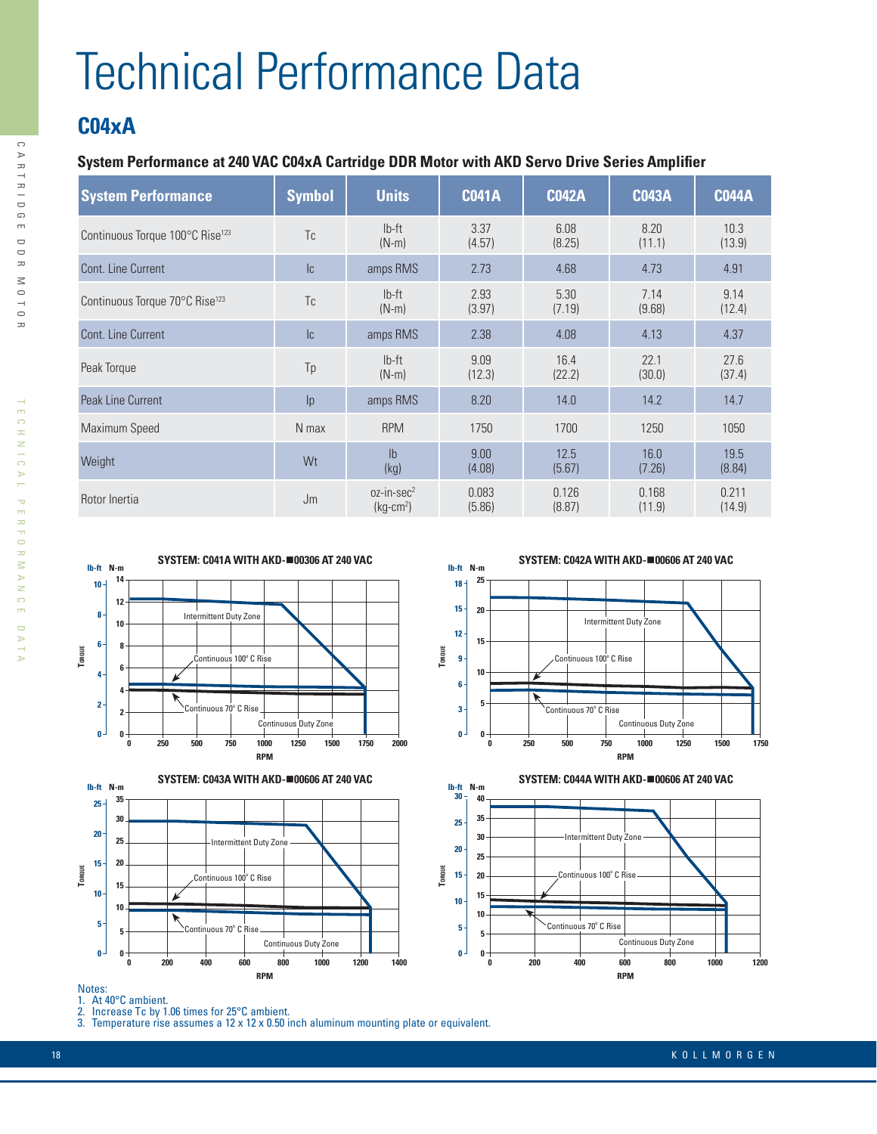# Technical Performance Data

## **C04xA**

### **System Performance at 240 VAC C04xA Cartridge DDR Motor with AKD Servo Drive Series Amplifier**

| <b>System Performance</b>                   | <b>Symbol</b>              | <b>Units</b>                       | <b>C041A</b>    | <b>C042A</b>    | <b>C043A</b>    | <b>C044A</b>    |
|---------------------------------------------|----------------------------|------------------------------------|-----------------|-----------------|-----------------|-----------------|
| Continuous Torque 100°C Rise <sup>123</sup> | Tc                         | $Ib-ft$<br>$(N-m)$                 | 3.37<br>(4.57)  | 6.08<br>(8.25)  | 8.20<br>(11.1)  | 10.3<br>(13.9)  |
| Cont. Line Current                          | $\ensuremath{\mathsf{IC}}$ | amps RMS                           | 2.73            | 4.68            | 4.73            | 4.91            |
| Continuous Torque 70°C Rise <sup>123</sup>  | Tc                         | $Ib-ft$<br>$(N-m)$                 | 2.93<br>(3.97)  | 5.30<br>(7.19)  | 7.14<br>(9.68)  | 9.14<br>(12.4)  |
| Cont. Line Current                          | $\ensuremath{\mathsf{IC}}$ | amps RMS                           | 2.38            | 4.08            | 4.13            | 4.37            |
| Peak Torque                                 | Tp                         | $Ib-ft$<br>$(N-m)$                 | 9.09<br>(12.3)  | 16.4<br>(22.2)  | 22.1<br>(30.0)  | 27.6<br>(37.4)  |
| Peak Line Current                           | p                          | amps RMS                           | 8.20            | 14.0            | 14.2            | 14.7            |
| Maximum Speed                               | N max                      | <b>RPM</b>                         | 1750            | 1700            | 1250            | 1050            |
| Weight                                      | Wt                         | I <sub>b</sub><br>(kg)             | 9.00<br>(4.08)  | 12.5<br>(5.67)  | 16.0<br>(7.26)  | 19.5<br>(8.84)  |
| Rotor Inertia                               | Jm                         | $oz-in\text{-}sec^2$<br>$(kq-cm2)$ | 0.083<br>(5.86) | 0.126<br>(8.87) | 0.168<br>(11.9) | 0.211<br>(14.9) |













#### Notes:

- 1. At 40°C ambient.
- 2. Increase Tc by 1.06 times for 25°C ambient.

3. Temperature rise assumes a 12 x 12 x 0.50 inch aluminum mounting plate or equivalent.

 $\mathbf{r}$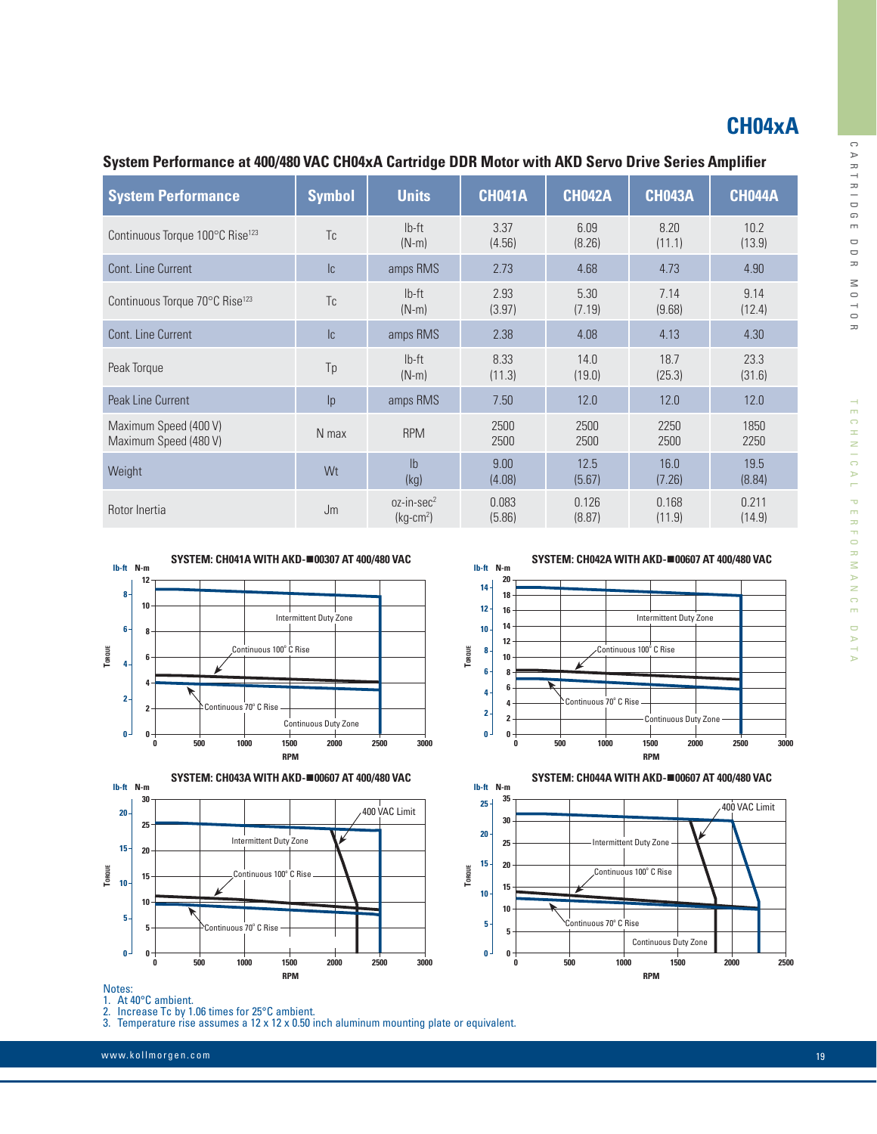## **CH04xA**

 $\cup$ 

A R T R I D

 G $\bar{m}$  $\Box$  D R $\leq$  O $^{-1}_{\Omega}$ R

TECHNIC

AL PERFORMANCE DATA

 $\overline{\mathbb{U}}$ NTAT

TECHNICAL PERFORMANCE

| <b>System Performance</b>                      | <b>Symbol</b> | <b>Units</b>                       | <b>CH041A</b>   | <b>CH042A</b>   | <b>CH043A</b>   | <b>CH044A</b>   |
|------------------------------------------------|---------------|------------------------------------|-----------------|-----------------|-----------------|-----------------|
| Continuous Torque 100°C Rise <sup>123</sup>    | Tc.           | $Ib-ft$<br>$(N-m)$                 | 3.37<br>(4.56)  | 6.09<br>(8.26)  | 8.20<br>(11.1)  | 10.2<br>(13.9)  |
| Cont. Line Current                             | c             | amps RMS                           | 2.73            | 4.68            | 4.73            | 4.90            |
| Continuous Torque 70°C Rise <sup>123</sup>     | Tc            | $Ib-ft$<br>$(N-m)$                 | 2.93<br>(3.97)  | 5.30<br>(7.19)  | 7.14<br>(9.68)  | 9.14<br>(12.4)  |
| Cont. Line Current                             | c             | amps RMS                           | 2.38            | 4.08            | 4.13            | 4.30            |
| Peak Torque                                    | Tp            | $Ib-ft$<br>$(N-m)$                 | 8.33<br>(11.3)  | 14.0<br>(19.0)  | 18.7<br>(25.3)  | 23.3<br>(31.6)  |
| Peak Line Current                              | p             | amps RMS                           | 7.50            | 12.0            | 12.0            | 12.0            |
| Maximum Speed (400 V)<br>Maximum Speed (480 V) | N max         | <b>RPM</b>                         | 2500<br>2500    | 2500<br>2500    | 2250<br>2500    | 1850<br>2250    |
| Weight                                         | Wt            | I <sub>b</sub><br>(kg)             | 9.00<br>(4.08)  | 12.5<br>(5.67)  | 16.0<br>(7.26)  | 19.5<br>(8.84)  |
| Rotor Inertia                                  | Jm            | $oz-in\text{-}sec^2$<br>$(kq-cm2)$ | 0.083<br>(5.86) | 0.126<br>(8.87) | 0.168<br>(11.9) | 0.211<br>(14.9) |

**0 0**

**5**

**TORQUE**

**20 15**

**10**

### **System Performance at 400/480 VAC CH04xA Cartridge DDR Motor with AKD Servo Drive Series Amplifier**





**SYSTEM: CH042A WITH AKD-**n**00607 AT 400/480 VAC**





Notes:

1. At 40°C ambient.

2. Increase Tc by 1.06 times for 25°C ambient.

3. Temperature rise assumes a 12 x 12 x 0.50 inch aluminum mounting plate or equivalent.

www.kollmorgen.com 19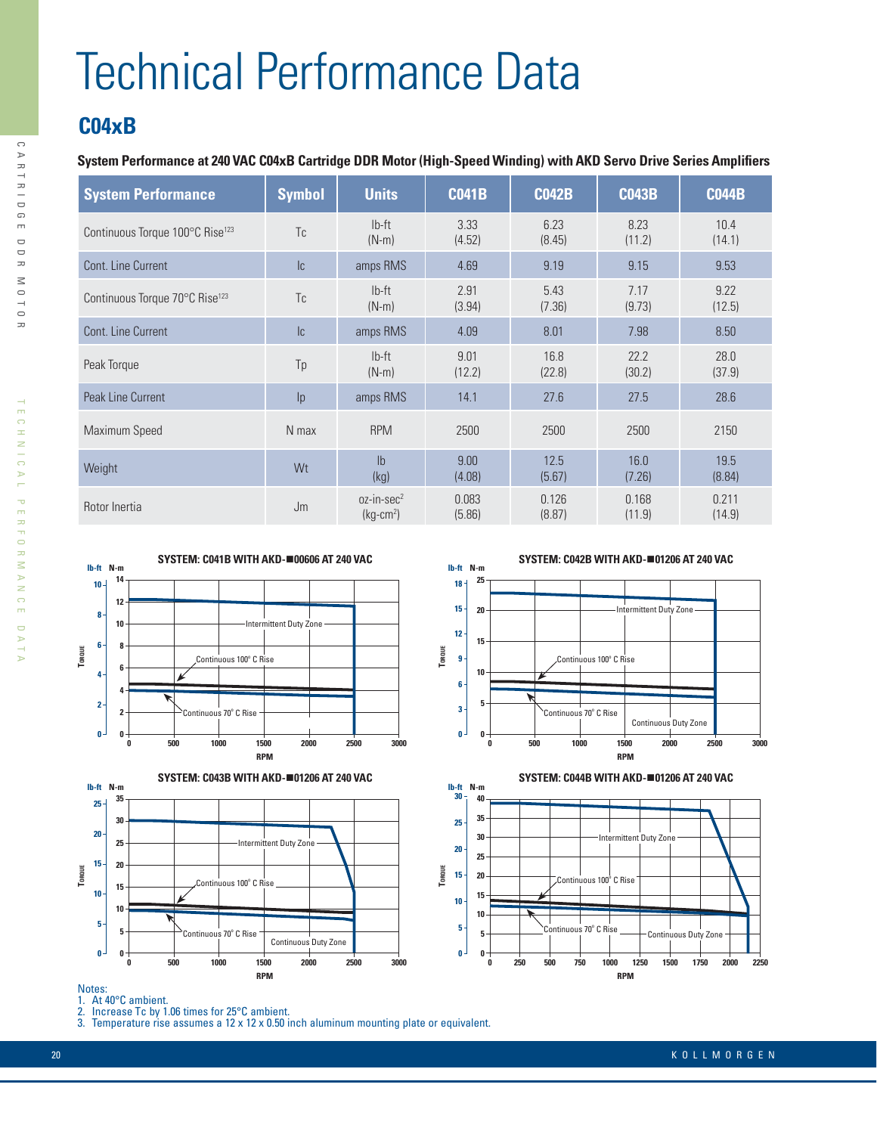# Technical Performance Data

## **C04xB**

### **System Performance at 240 VAC C04xB Cartridge DDR Motor (High-Speed Winding) with AKD Servo Drive Series Amplifiers**

| <b>System Performance</b>                   | <b>Symbol</b> | <b>Units</b>                       | <b>C041B</b>    | <b>C042B</b>    | <b>C043B</b>    | <b>C044B</b>    |
|---------------------------------------------|---------------|------------------------------------|-----------------|-----------------|-----------------|-----------------|
| Continuous Torque 100°C Rise <sup>123</sup> | Tc            | $Ib-ft$<br>$(N-m)$                 | 3.33<br>(4.52)  | 6.23<br>(8.45)  | 8.23<br>(11.2)  | 10.4<br>(14.1)  |
| Cont. Line Current                          | c             | amps RMS                           | 4.69            | 9.19            | 9.15            | 9.53            |
| Continuous Torque 70°C Rise <sup>123</sup>  | Tc            | $Ib-ft$<br>$(N-m)$                 | 2.91<br>(3.94)  | 5.43<br>(7.36)  | 7.17<br>(9.73)  | 9.22<br>(12.5)  |
| Cont. Line Current                          | c             | amps RMS                           | 4.09            | 8.01            | 7.98            | 8.50            |
| Peak Torque                                 | Tp            | $Ib-ft$<br>$(N-m)$                 | 9.01<br>(12.2)  | 16.8<br>(22.8)  | 22.2<br>(30.2)  | 28.0<br>(37.9)  |
| Peak Line Current                           | p             | amps RMS                           | 14.1            | 27.6            | 27.5            | 28.6            |
| Maximum Speed                               | N max         | <b>RPM</b>                         | 2500            | 2500            | 2500            | 2150            |
| Weight                                      | Wt            | I <sub>h</sub><br>(kg)             | 9.00<br>(4.08)  | 12.5<br>(5.67)  | 16.0<br>(7.26)  | 19.5<br>(8.84)  |
| Rotor Inertia                               | Jm            | $oz-in\text{-}sec^2$<br>$(kg-cm2)$ | 0.083<br>(5.86) | 0.126<br>(8.87) | 0.168<br>(11.9) | 0.211<br>(14.9) |





**SYSTEM: C042B WITH AKD-**n**01206 AT 240 VAC**





#### Notes:

- 1. At 40°C ambient.
- 2. Increase Tc by 1.06 times for 25°C ambient.

3. Temperature rise assumes a 12 x 12 x 0.50 inch aluminum mounting plate or equivalent.

R

 $\bigcap$ 

 $\mathbf{r}$